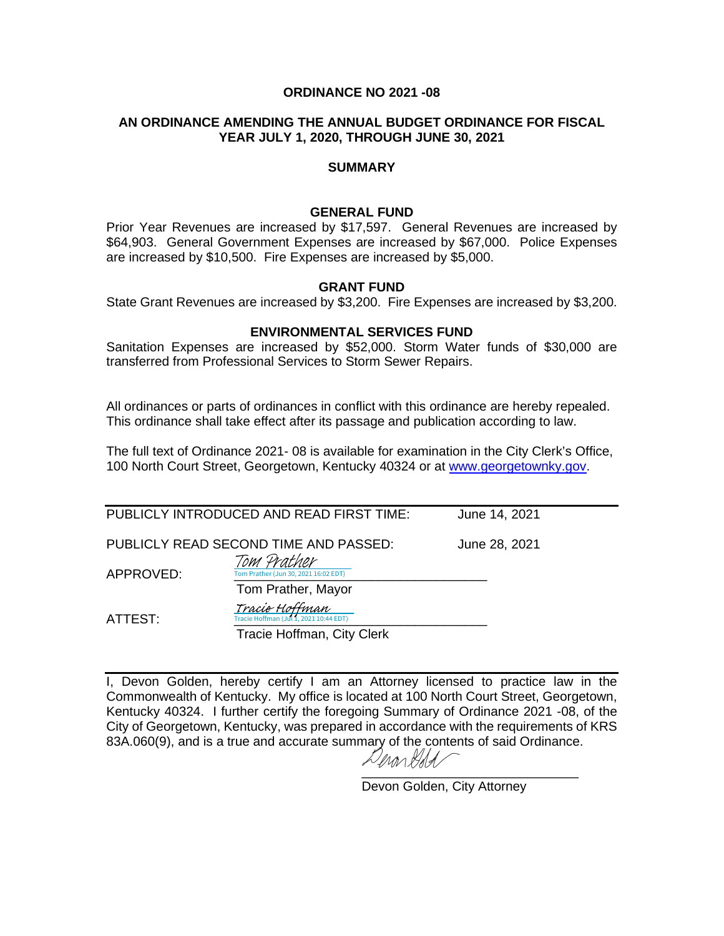# **ORDINANCE NO 2021 -08**

## **AN ORDINANCE AMENDING THE ANNUAL BUDGET ORDINANCE FOR FISCAL YEAR JULY 1, 2020, THROUGH JUNE 30, 2021**

#### **SUMMARY**

#### **GENERAL FUND**

Prior Year Revenues are increased by \$17,597. General Revenues are increased by \$64,903. General Government Expenses are increased by \$67,000. Police Expenses are increased by \$10,500. Fire Expenses are increased by \$5,000.

#### **GRANT FUND**

State Grant Revenues are increased by \$3,200. Fire Expenses are increased by \$3,200.

### **ENVIRONMENTAL SERVICES FUND**

Sanitation Expenses are increased by \$52,000. Storm Water funds of \$30,000 are transferred from Professional Services to Storm Sewer Repairs.

All ordinances or parts of ordinances in conflict with this ordinance are hereby repealed. This ordinance shall take effect after its passage and publication according to law.

The full text of Ordinance 2021- 08 is available for examination in the City Clerk's Office, 100 North Court Street, Georgetown, Kentucky 40324 or at [www.georgetownky.gov.](http://www.georgetownky.gov/)

|                                       | PUBLICLY INTRODUCED AND READ FIRST TIME:                                       | June 14, 2021 |
|---------------------------------------|--------------------------------------------------------------------------------|---------------|
| PUBLICLY READ SECOND TIME AND PASSED: |                                                                                | June 28, 2021 |
| APPROVED:                             | Tom Prather<br>Tom Prather (Jun 30, 2021 16:02 EDT)                            |               |
| ATTEST:                               | Tom Prather, Mayor<br>Tracie Hoffman<br>Tracie Hoffman (Jul 1, 2021 10:44 EDT) |               |
|                                       | Tracie Hoffman, City Clerk                                                     |               |

I, Devon Golden, hereby certify I am an Attorney licensed to practice law in the Commonwealth of Kentucky. My office is located at 100 North Court Street, Georgetown, Kentucky 40324. I further certify the foregoing Summary of Ordinance 2021 -08, of the City of Georgetown, Kentucky, was prepared in accordance with the requirements of KRS 83A.060(9), and is a true and accurate summary of the contents of said Ordinance.

Denan Hald [\\_\\_\\_\\_\\_\\_\\_\\_\\_\\_\\_\\_\\_\\_\\_\\_\\_\\_\\_\\_\\_\\_\\_\\_\\_\\_\\_\\_\\_\\_](https://adobefreeuserschannel.na1.documents.adobe.com/verifier?tx=CBJCHBCAABAAWAkTTDIRQCUKOvyfS3GWw27RYbY90dtF)

Devon Golden, City Attorney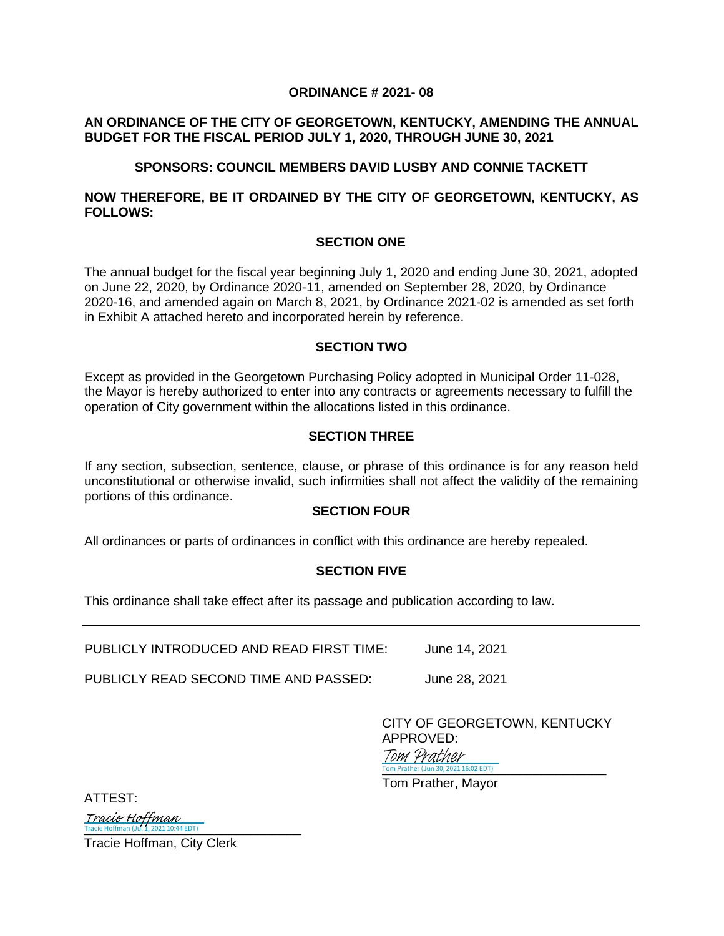#### **ORDINANCE # 2021- 08**

# **AN ORDINANCE OF THE CITY OF GEORGETOWN, KENTUCKY, AMENDING THE ANNUAL BUDGET FOR THE FISCAL PERIOD JULY 1, 2020, THROUGH JUNE 30, 2021**

# **SPONSORS: COUNCIL MEMBERS DAVID LUSBY AND CONNIE TACKETT**

# **NOW THEREFORE, BE IT ORDAINED BY THE CITY OF GEORGETOWN, KENTUCKY, AS FOLLOWS:**

#### **SECTION ONE**

The annual budget for the fiscal year beginning July 1, 2020 and ending June 30, 2021, adopted on June 22, 2020, by Ordinance 2020-11, amended on September 28, 2020, by Ordinance 2020-16, and amended again on March 8, 2021, by Ordinance 2021-02 is amended as set forth in Exhibit A attached hereto and incorporated herein by reference.

#### **SECTION TWO**

Except as provided in the Georgetown Purchasing Policy adopted in Municipal Order 11-028, the Mayor is hereby authorized to enter into any contracts or agreements necessary to fulfill the operation of City government within the allocations listed in this ordinance.

#### **SECTION THREE**

If any section, subsection, sentence, clause, or phrase of this ordinance is for any reason held unconstitutional or otherwise invalid, such infirmities shall not affect the validity of the remaining portions of this ordinance.

#### **SECTION FOUR**

All ordinances or parts of ordinances in conflict with this ordinance are hereby repealed.

#### **SECTION FIVE**

This ordinance shall take effect after its passage and publication according to law.

PUBLICLY INTRODUCED AND READ FIRST TIME: June 14, 2021

PUBLICLY READ SECOND TIME AND PASSED: June 28, 2021

CITY OF GEORGETOWN, KENTUCKY APPROVED:

Tom Prather (Jun 30, 2021 16:02 EDT) Tom Prather

Tom Prather, Mayor

ATTEST:

 $\frac{1}{\text{Trace}}$  Hoffman (Jul 1, 2021 10:44 EDT)

Tracie Hoffman, City Clerk